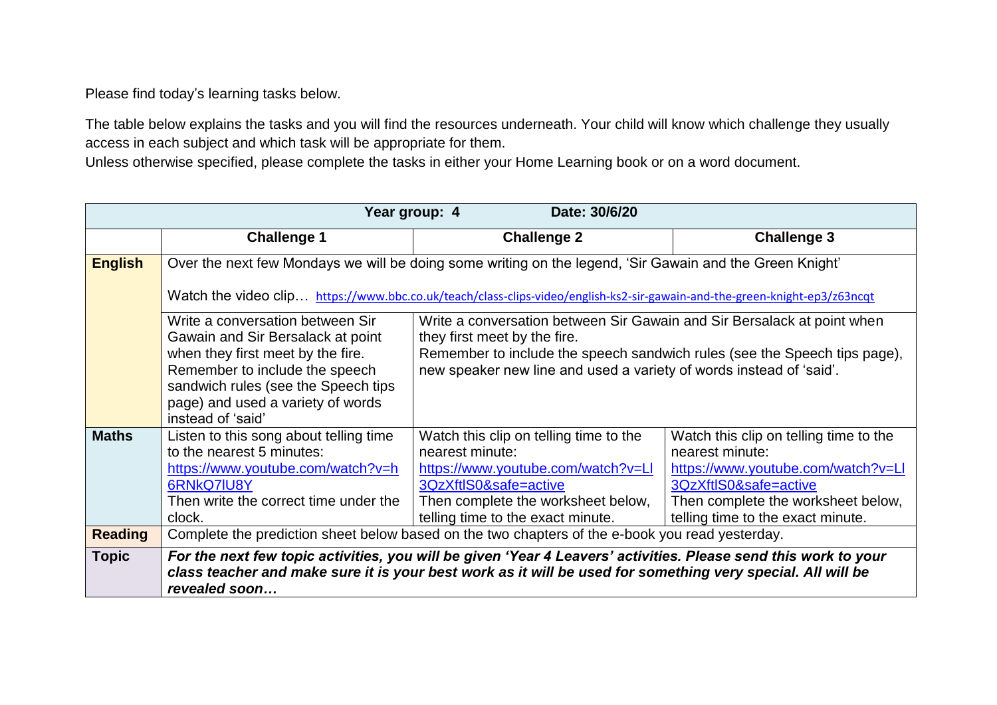Please find today's learning tasks below.

The table below explains the tasks and you will find the resources underneath. Your child will know which challenge they usually access in each subject and which task will be appropriate for them.

Unless otherwise specified, please complete the tasks in either your Home Learning book or on a word document.

| Date: 30/6/20<br>Year group: 4 |                                                                                                                            |                                                                                                                                                                                                                                |                                        |  |
|--------------------------------|----------------------------------------------------------------------------------------------------------------------------|--------------------------------------------------------------------------------------------------------------------------------------------------------------------------------------------------------------------------------|----------------------------------------|--|
|                                | <b>Challenge 1</b>                                                                                                         | <b>Challenge 2</b>                                                                                                                                                                                                             | <b>Challenge 3</b>                     |  |
| <b>English</b>                 | Over the next few Mondays we will be doing some writing on the legend, 'Sir Gawain and the Green Knight'                   |                                                                                                                                                                                                                                |                                        |  |
|                                | Watch the video clip https://www.bbc.co.uk/teach/class-clips-video/english-ks2-sir-gawain-and-the-green-knight-ep3/z63ncqt |                                                                                                                                                                                                                                |                                        |  |
|                                | Write a conversation between Sir<br>Gawain and Sir Bersalack at point                                                      | Write a conversation between Sir Gawain and Sir Bersalack at point when<br>they first meet by the fire.                                                                                                                        |                                        |  |
|                                | when they first meet by the fire.                                                                                          | Remember to include the speech sandwich rules (see the Speech tips page),                                                                                                                                                      |                                        |  |
|                                | Remember to include the speech                                                                                             | new speaker new line and used a variety of words instead of 'said'.                                                                                                                                                            |                                        |  |
|                                | sandwich rules (see the Speech tips<br>page) and used a variety of words                                                   |                                                                                                                                                                                                                                |                                        |  |
|                                | instead of 'said'                                                                                                          |                                                                                                                                                                                                                                |                                        |  |
| <b>Maths</b>                   | Listen to this song about telling time                                                                                     | Watch this clip on telling time to the                                                                                                                                                                                         | Watch this clip on telling time to the |  |
|                                | to the nearest 5 minutes:                                                                                                  | nearest minute:                                                                                                                                                                                                                | nearest minute:                        |  |
|                                | https://www.youtube.com/watch?v=h                                                                                          | https://www.youtube.com/watch?v=Ll                                                                                                                                                                                             | https://www.youtube.com/watch?v=LI     |  |
|                                | 6RNkQ7IU8Y                                                                                                                 | 3QzXftlS0&safe=active                                                                                                                                                                                                          | 3QzXftlS0&safe=active                  |  |
|                                | Then write the correct time under the                                                                                      | Then complete the worksheet below,                                                                                                                                                                                             | Then complete the worksheet below,     |  |
|                                | clock.                                                                                                                     | telling time to the exact minute.                                                                                                                                                                                              | telling time to the exact minute.      |  |
| <b>Reading</b>                 | Complete the prediction sheet below based on the two chapters of the e-book you read yesterday.                            |                                                                                                                                                                                                                                |                                        |  |
| <b>Topic</b>                   | revealed soon                                                                                                              | For the next few topic activities, you will be given 'Year 4 Leavers' activities. Please send this work to your<br>class teacher and make sure it is your best work as it will be used for something very special. All will be |                                        |  |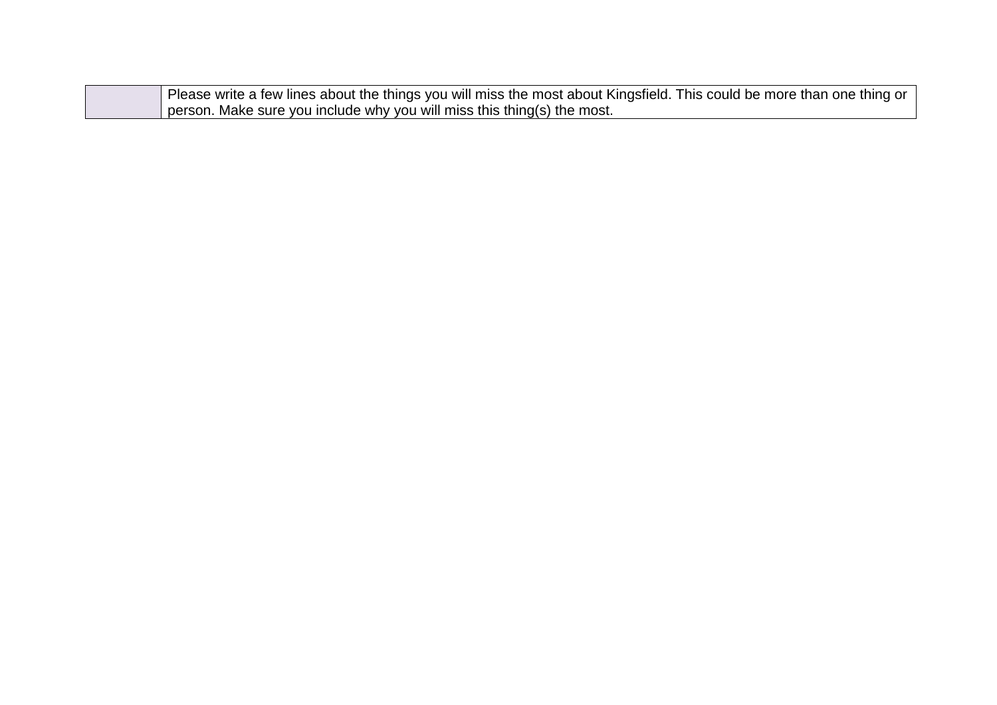| Please write a few lines about the things you will miss the most about Kingsfield. This could be more than one thing or |
|-------------------------------------------------------------------------------------------------------------------------|
| I person. Make sure you include why you will miss this thing(s) the most.                                               |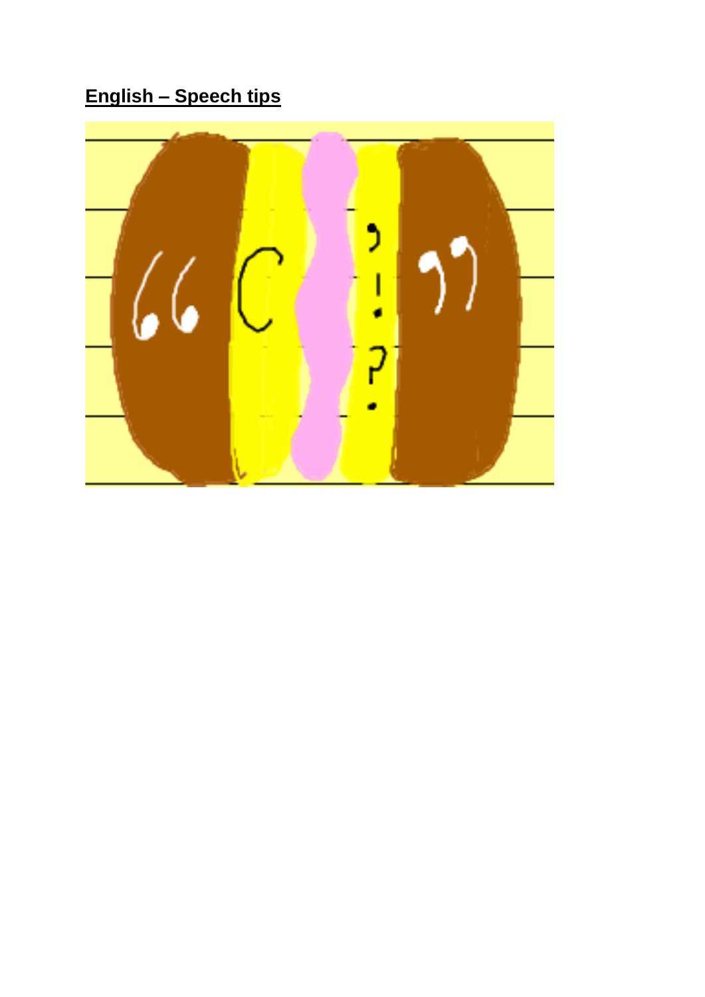English - Speech tips

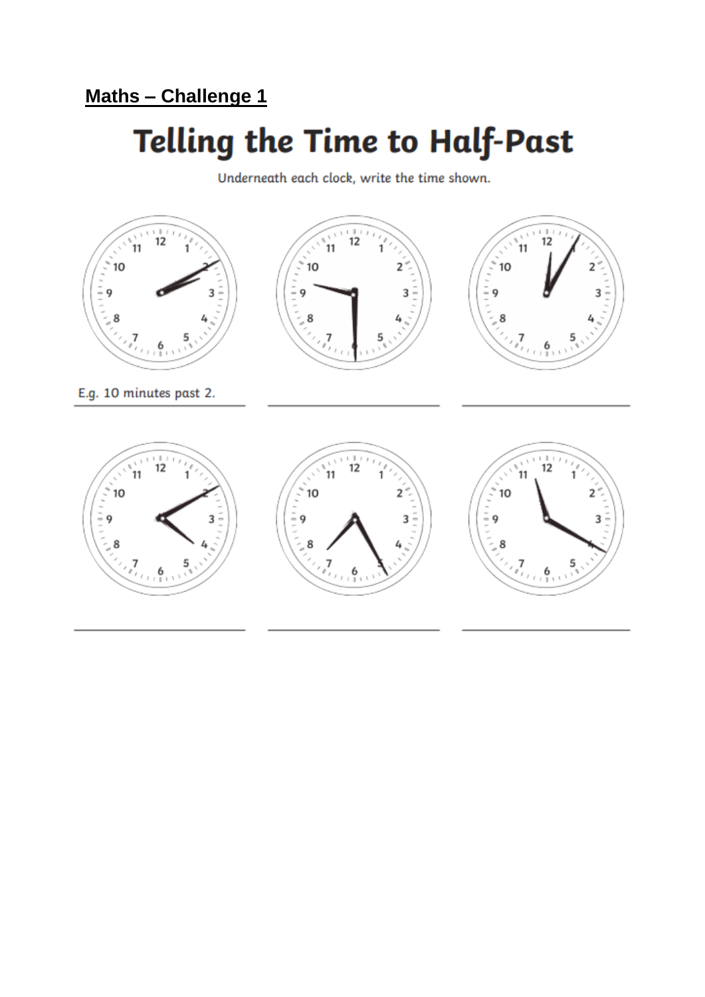## **Telling the Time to Half-Past**

Underneath each clock, write the time shown.

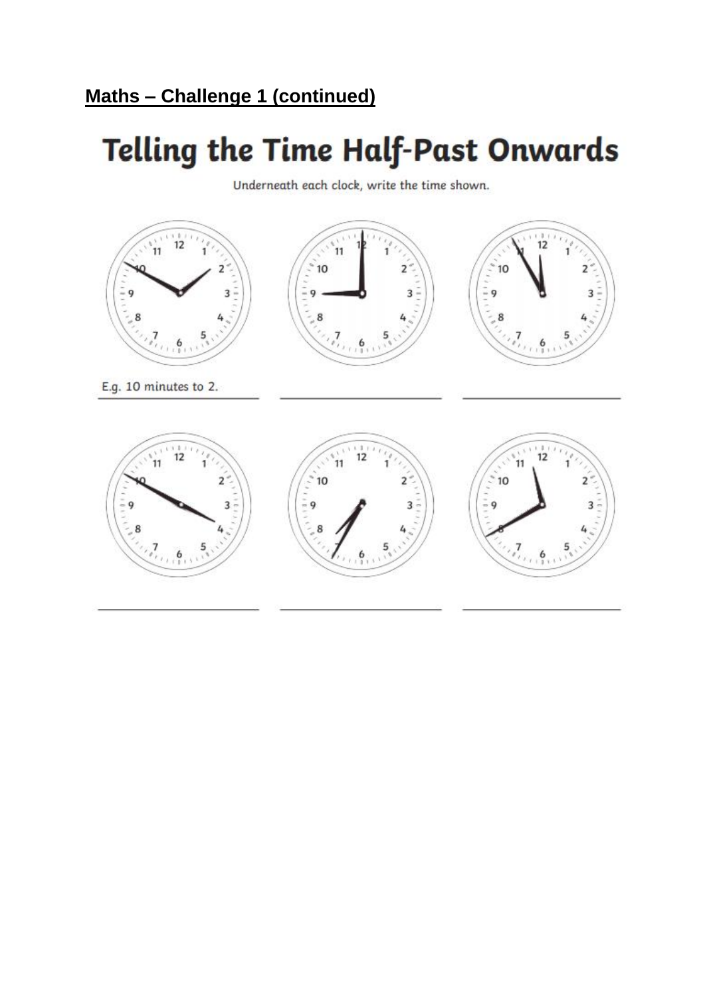# **Telling the Time Half-Past Onwards**

Underneath each clock, write the time shown.

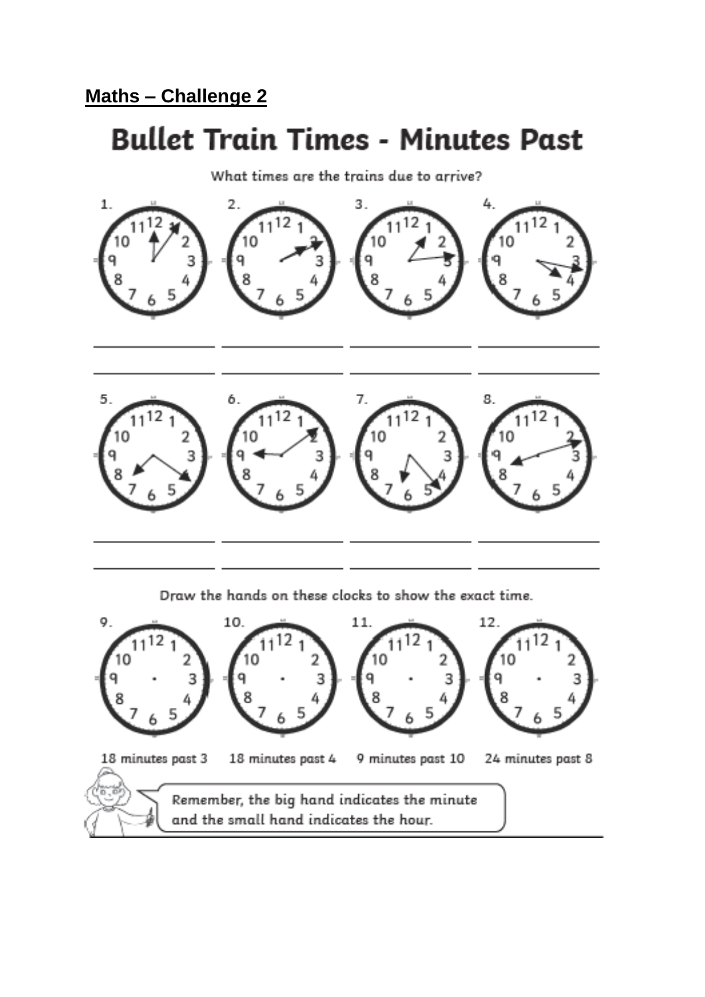### **Bullet Train Times - Minutes Past**

What times are the trains due to arrive?



Draw the hands on these clocks to show the exact time.

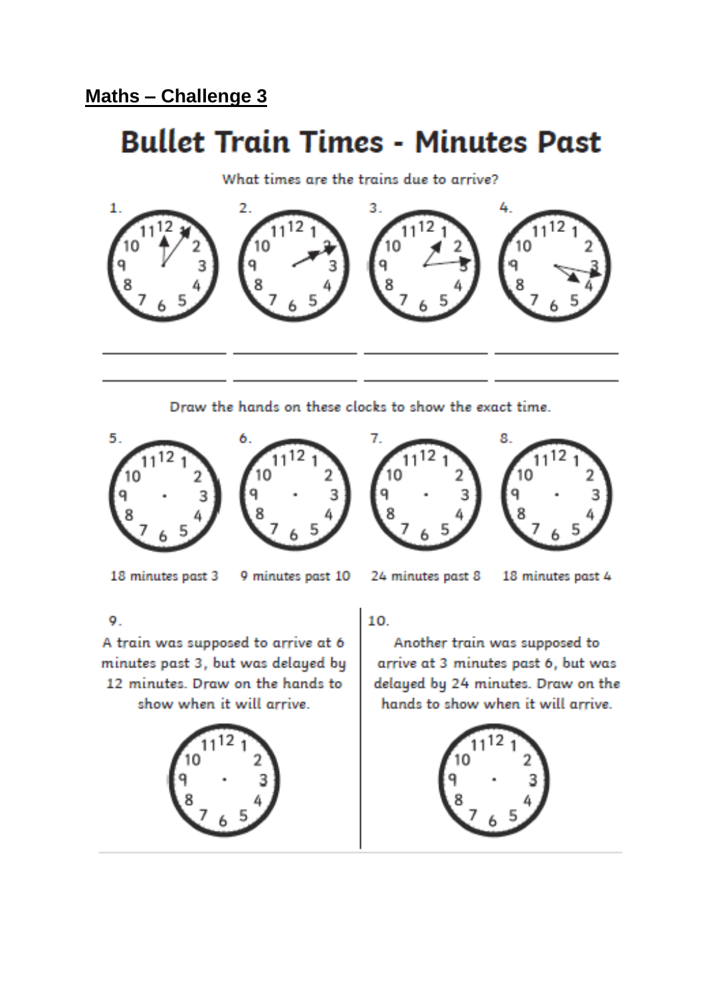## **Bullet Train Times - Minutes Past**

What times are the trains due to arrive?



Draw the hands on these clocks to show the exact time.









18 minutes past 3

- 9 minutes past 10
- 

24 minutes past 8 18 minutes past 4

9.

A train was supposed to arrive at 6 minutes past 3, but was delayed by 12 minutes. Draw on the hands to show when it will arrive.



 $10<sub>1</sub>$ 

Another train was supposed to arrive at 3 minutes past 6, but was delayed by 24 minutes. Draw on the hands to show when it will arrive.